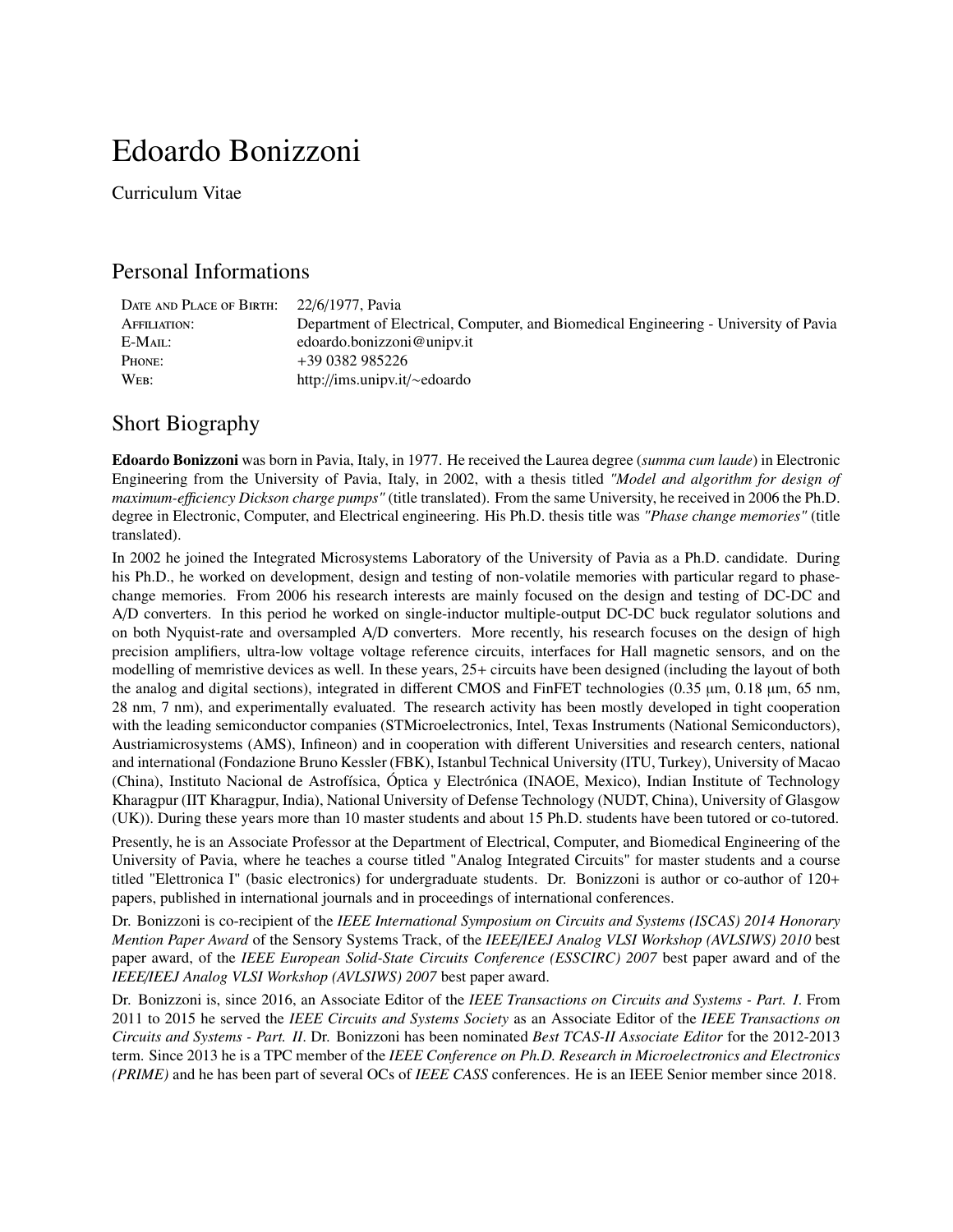# Edoardo Bonizzoni

Curriculum Vitae

# Personal Informations

| DATE AND PLACE OF BIRTH: | 22/6/1977. Pavia                                                                     |
|--------------------------|--------------------------------------------------------------------------------------|
| AFFILIATION:             | Department of Electrical, Computer, and Biomedical Engineering - University of Pavia |
| E-MAIL:                  | edoardo.bonizzoni@unipv.it                                                           |
| PHONE:                   | +39 0382 985226                                                                      |
| WEB:                     | http://ims.unipv.it/ $\sim$ edoardo                                                  |

# Short Biography

Edoardo Bonizzoni was born in Pavia, Italy, in 1977. He received the Laurea degree (*summa cum laude*) in Electronic Engineering from the University of Pavia, Italy, in 2002, with a thesis titled *"Model and algorithm for design of maximum-e*ffi*ciency Dickson charge pumps"* (title translated). From the same University, he received in 2006 the Ph.D. degree in Electronic, Computer, and Electrical engineering. His Ph.D. thesis title was *"Phase change memories"* (title translated).

In 2002 he joined the Integrated Microsystems Laboratory of the University of Pavia as a Ph.D. candidate. During his Ph.D., he worked on development, design and testing of non-volatile memories with particular regard to phasechange memories. From 2006 his research interests are mainly focused on the design and testing of DC-DC and A/D converters. In this period he worked on single-inductor multiple-output DC-DC buck regulator solutions and on both Nyquist-rate and oversampled A/D converters. More recently, his research focuses on the design of high precision amplifiers, ultra-low voltage voltage reference circuits, interfaces for Hall magnetic sensors, and on the modelling of memristive devices as well. In these years, 25+ circuits have been designed (including the layout of both the analog and digital sections), integrated in different CMOS and FinFET technologies (0.35 µm, 0.18 µm, 65 nm, 28 nm, 7 nm), and experimentally evaluated. The research activity has been mostly developed in tight cooperation with the leading semiconductor companies (STMicroelectronics, Intel, Texas Instruments (National Semiconductors), Austriamicrosystems (AMS), Infineon) and in cooperation with different Universities and research centers, national and international (Fondazione Bruno Kessler (FBK), Istanbul Technical University (ITU, Turkey), University of Macao (China), Instituto Nacional de Astrofísica, Óptica y Electrónica (INAOE, Mexico), Indian Institute of Technology Kharagpur (IIT Kharagpur, India), National University of Defense Technology (NUDT, China), University of Glasgow (UK)). During these years more than 10 master students and about 15 Ph.D. students have been tutored or co-tutored.

Presently, he is an Associate Professor at the Department of Electrical, Computer, and Biomedical Engineering of the University of Pavia, where he teaches a course titled "Analog Integrated Circuits" for master students and a course titled "Elettronica I" (basic electronics) for undergraduate students. Dr. Bonizzoni is author or co-author of 120+ papers, published in international journals and in proceedings of international conferences.

Dr. Bonizzoni is co-recipient of the *IEEE International Symposium on Circuits and Systems (ISCAS) 2014 Honorary Mention Paper Award* of the Sensory Systems Track, of the *IEEE*/*IEEJ Analog VLSI Workshop (AVLSIWS) 2010* best paper award, of the *IEEE European Solid-State Circuits Conference (ESSCIRC) 2007* best paper award and of the *IEEE*/*IEEJ Analog VLSI Workshop (AVLSIWS) 2007* best paper award.

Dr. Bonizzoni is, since 2016, an Associate Editor of the *IEEE Transactions on Circuits and Systems - Part. I*. From 2011 to 2015 he served the *IEEE Circuits and Systems Society* as an Associate Editor of the *IEEE Transactions on Circuits and Systems - Part. II*. Dr. Bonizzoni has been nominated *Best TCAS-II Associate Editor* for the 2012-2013 term. Since 2013 he is a TPC member of the *IEEE Conference on Ph.D. Research in Microelectronics and Electronics (PRIME)* and he has been part of several OCs of *IEEE CASS* conferences. He is an IEEE Senior member since 2018.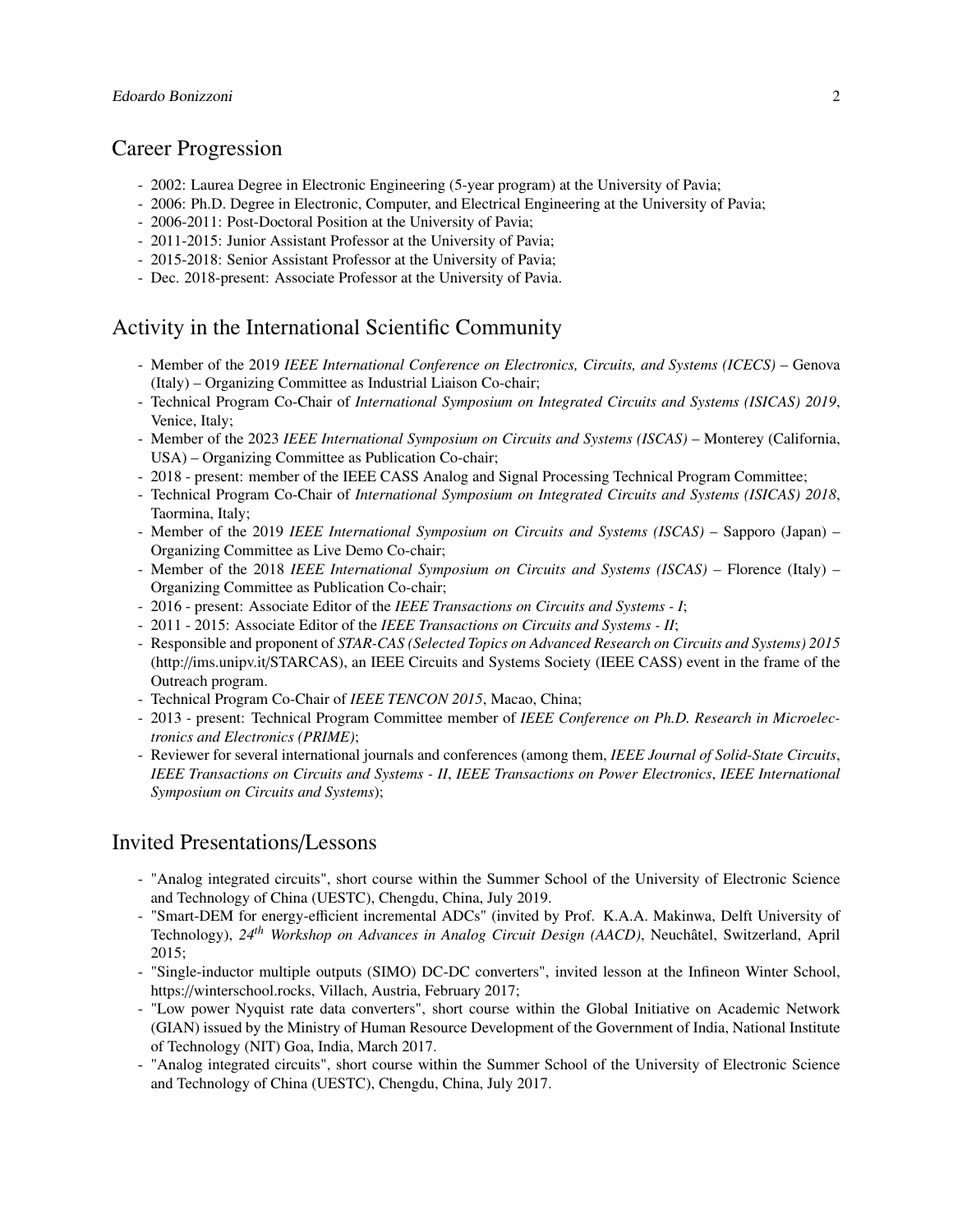## Career Progression

- 2002: Laurea Degree in Electronic Engineering (5-year program) at the University of Pavia;
- 2006: Ph.D. Degree in Electronic, Computer, and Electrical Engineering at the University of Pavia;
- 2006-2011: Post-Doctoral Position at the University of Pavia;
- 2011-2015: Junior Assistant Professor at the University of Pavia;
- 2015-2018: Senior Assistant Professor at the University of Pavia;
- Dec. 2018-present: Associate Professor at the University of Pavia.

## Activity in the International Scientific Community

- Member of the 2019 *IEEE International Conference on Electronics, Circuits, and Systems (ICECS)* Genova (Italy) – Organizing Committee as Industrial Liaison Co-chair;
- Technical Program Co-Chair of *International Symposium on Integrated Circuits and Systems (ISICAS) 2019*, Venice, Italy;
- Member of the 2023 *IEEE International Symposium on Circuits and Systems (ISCAS)* Monterey (California, USA) – Organizing Committee as Publication Co-chair;
- 2018 present: member of the IEEE CASS Analog and Signal Processing Technical Program Committee;
- Technical Program Co-Chair of *International Symposium on Integrated Circuits and Systems (ISICAS) 2018*, Taormina, Italy;
- Member of the 2019 *IEEE International Symposium on Circuits and Systems (ISCAS)* Sapporo (Japan) Organizing Committee as Live Demo Co-chair;
- Member of the 2018 *IEEE International Symposium on Circuits and Systems (ISCAS)* Florence (Italy) Organizing Committee as Publication Co-chair;
- 2016 present: Associate Editor of the *IEEE Transactions on Circuits and Systems I*;
- 2011 2015: Associate Editor of the *IEEE Transactions on Circuits and Systems II*;
- Responsible and proponent of *STAR-CAS (Selected Topics on Advanced Research on Circuits and Systems) 2015* (http://ims.unipv.it/STARCAS), an IEEE Circuits and Systems Society (IEEE CASS) event in the frame of the Outreach program.
- Technical Program Co-Chair of *IEEE TENCON 2015*, Macao, China;
- 2013 present: Technical Program Committee member of *IEEE Conference on Ph.D. Research in Microelectronics and Electronics (PRIME)*;
- Reviewer for several international journals and conferences (among them, *IEEE Journal of Solid-State Circuits*, *IEEE Transactions on Circuits and Systems - II*, *IEEE Transactions on Power Electronics*, *IEEE International Symposium on Circuits and Systems*);

## Invited Presentations/Lessons

- "Analog integrated circuits", short course within the Summer School of the University of Electronic Science and Technology of China (UESTC), Chengdu, China, July 2019.
- "Smart-DEM for energy-efficient incremental ADCs" (invited by Prof. K.A.A. Makinwa, Delft University of Technology), *24th Workshop on Advances in Analog Circuit Design (AACD)*, Neuchatel, Switzerland, April ˆ 2015;
- "Single-inductor multiple outputs (SIMO) DC-DC converters", invited lesson at the Infineon Winter School, https://winterschool.rocks, Villach, Austria, February 2017;
- "Low power Nyquist rate data converters", short course within the Global Initiative on Academic Network (GIAN) issued by the Ministry of Human Resource Development of the Government of India, National Institute of Technology (NIT) Goa, India, March 2017.
- "Analog integrated circuits", short course within the Summer School of the University of Electronic Science and Technology of China (UESTC), Chengdu, China, July 2017.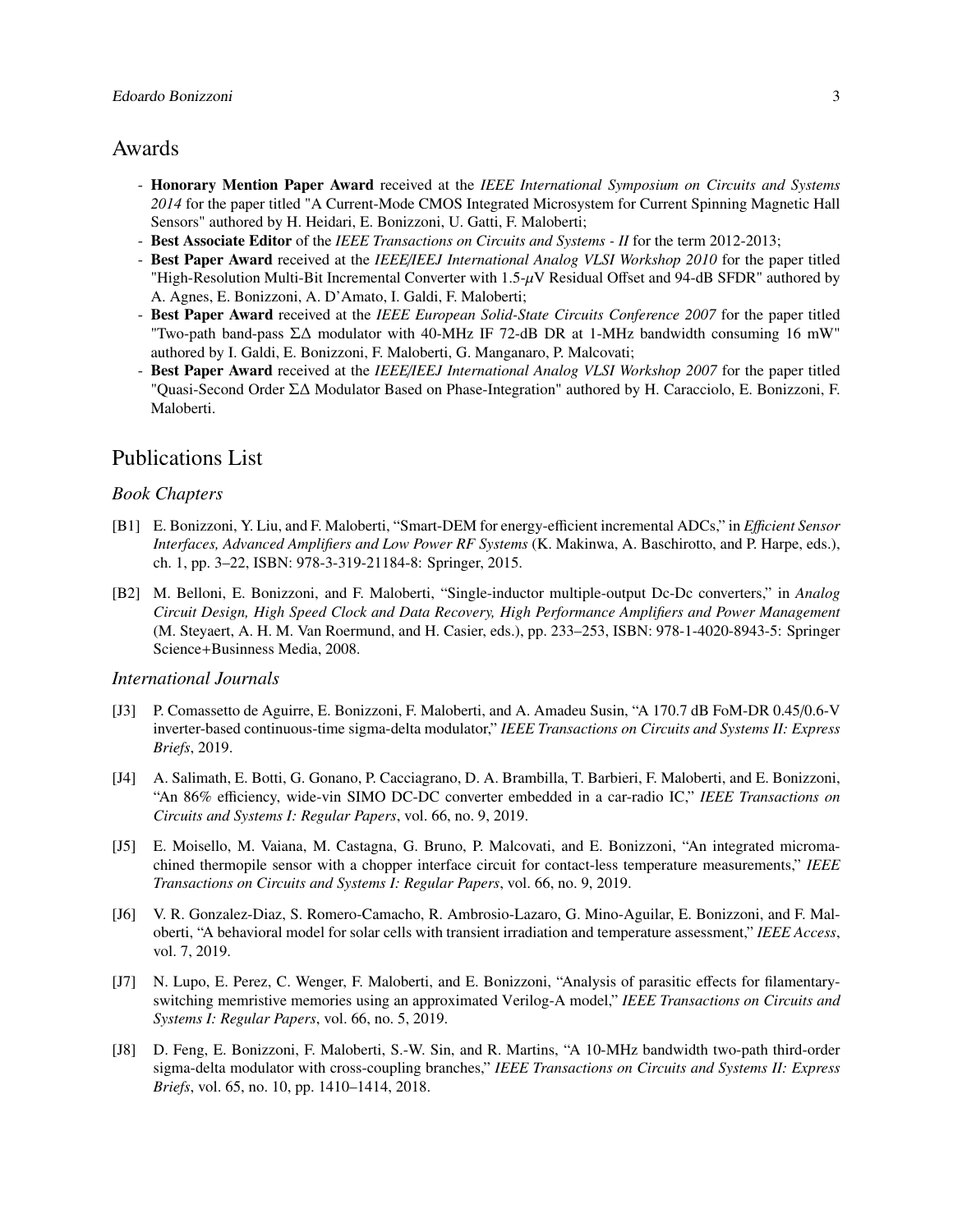## Awards

- Honorary Mention Paper Award received at the *IEEE International Symposium on Circuits and Systems 2014* for the paper titled "A Current-Mode CMOS Integrated Microsystem for Current Spinning Magnetic Hall Sensors" authored by H. Heidari, E. Bonizzoni, U. Gatti, F. Maloberti;
- Best Associate Editor of the *IEEE Transactions on Circuits and Systems II* for the term 2012-2013;
- Best Paper Award received at the *IEEE*/*IEEJ International Analog VLSI Workshop 2010* for the paper titled "High-Resolution Multi-Bit Incremental Converter with  $1.5-\mu$ V Residual Offset and 94-dB SFDR" authored by A. Agnes, E. Bonizzoni, A. D'Amato, I. Galdi, F. Maloberti;
- Best Paper Award received at the *IEEE European Solid-State Circuits Conference 2007* for the paper titled "Two-path band-pass Σ∆ modulator with 40-MHz IF 72-dB DR at 1-MHz bandwidth consuming 16 mW" authored by I. Galdi, E. Bonizzoni, F. Maloberti, G. Manganaro, P. Malcovati;
- Best Paper Award received at the *IEEE*/*IEEJ International Analog VLSI Workshop 2007* for the paper titled "Quasi-Second Order Σ∆ Modulator Based on Phase-Integration" authored by H. Caracciolo, E. Bonizzoni, F. Maloberti.

## Publications List

## *Book Chapters*

- [B1] E. Bonizzoni, Y. Liu, and F. Maloberti, "Smart-DEM for energy-efficient incremental ADCs," in *E*ffi*cient Sensor Interfaces, Advanced Amplifiers and Low Power RF Systems* (K. Makinwa, A. Baschirotto, and P. Harpe, eds.), ch. 1, pp. 3–22, ISBN: 978-3-319-21184-8: Springer, 2015.
- [B2] M. Belloni, E. Bonizzoni, and F. Maloberti, "Single-inductor multiple-output Dc-Dc converters," in *Analog Circuit Design, High Speed Clock and Data Recovery, High Performance Amplifiers and Power Management* (M. Steyaert, A. H. M. Van Roermund, and H. Casier, eds.), pp. 233–253, ISBN: 978-1-4020-8943-5: Springer Science+Businness Media, 2008.

### *International Journals*

- [J3] P. Comassetto de Aguirre, E. Bonizzoni, F. Maloberti, and A. Amadeu Susin, "A 170.7 dB FoM-DR 0.45/0.6-V inverter-based continuous-time sigma-delta modulator," *IEEE Transactions on Circuits and Systems II: Express Briefs*, 2019.
- [J4] A. Salimath, E. Botti, G. Gonano, P. Cacciagrano, D. A. Brambilla, T. Barbieri, F. Maloberti, and E. Bonizzoni, "An 86% efficiency, wide-vin SIMO DC-DC converter embedded in a car-radio IC," *IEEE Transactions on Circuits and Systems I: Regular Papers*, vol. 66, no. 9, 2019.
- [J5] E. Moisello, M. Vaiana, M. Castagna, G. Bruno, P. Malcovati, and E. Bonizzoni, "An integrated micromachined thermopile sensor with a chopper interface circuit for contact-less temperature measurements," *IEEE Transactions on Circuits and Systems I: Regular Papers*, vol. 66, no. 9, 2019.
- [J6] V. R. Gonzalez-Diaz, S. Romero-Camacho, R. Ambrosio-Lazaro, G. Mino-Aguilar, E. Bonizzoni, and F. Maloberti, "A behavioral model for solar cells with transient irradiation and temperature assessment," *IEEE Access*, vol. 7, 2019.
- [J7] N. Lupo, E. Perez, C. Wenger, F. Maloberti, and E. Bonizzoni, "Analysis of parasitic effects for filamentaryswitching memristive memories using an approximated Verilog-A model," *IEEE Transactions on Circuits and Systems I: Regular Papers*, vol. 66, no. 5, 2019.
- [J8] D. Feng, E. Bonizzoni, F. Maloberti, S.-W. Sin, and R. Martins, "A 10-MHz bandwidth two-path third-order sigma-delta modulator with cross-coupling branches," *IEEE Transactions on Circuits and Systems II: Express Briefs*, vol. 65, no. 10, pp. 1410–1414, 2018.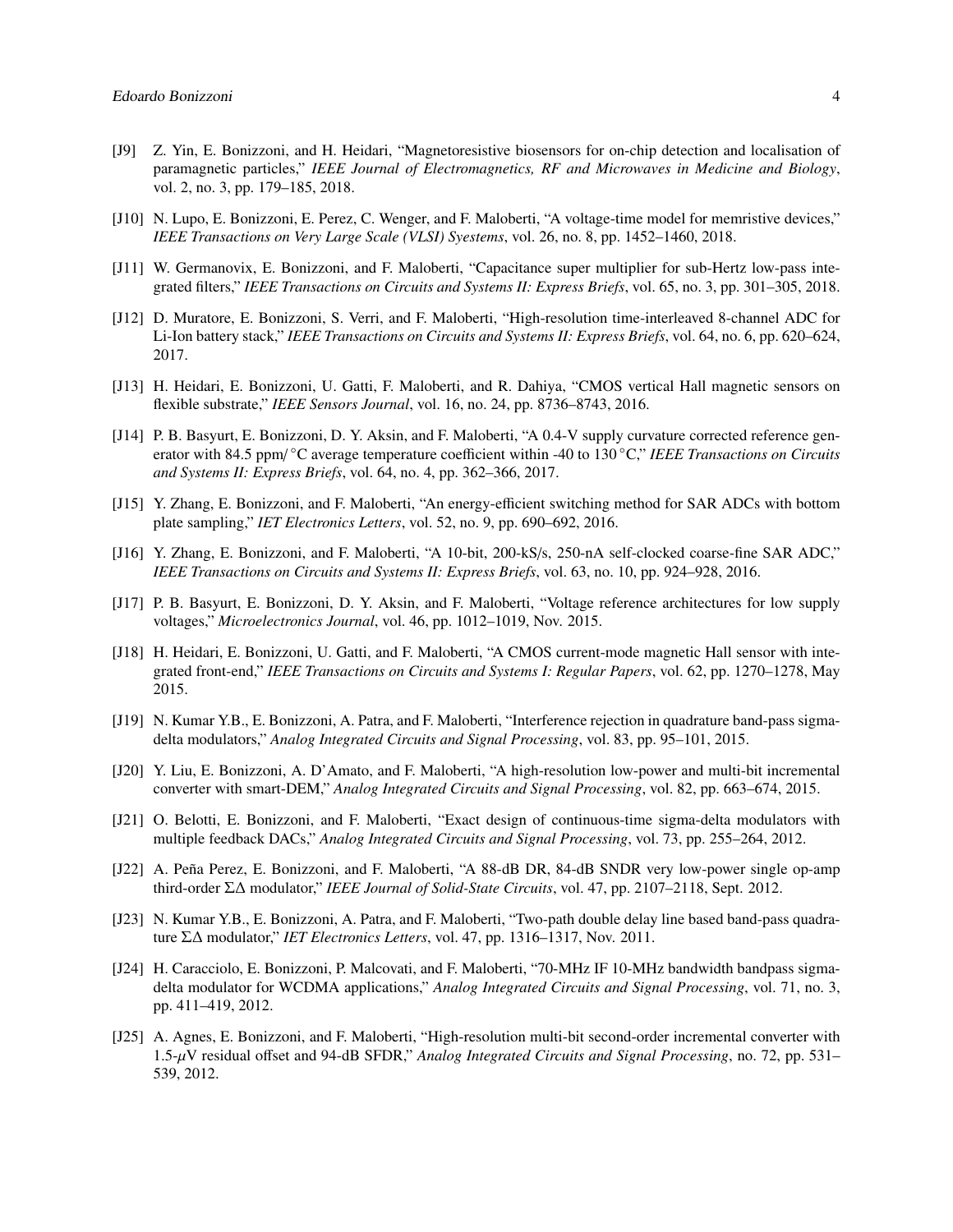- [J9] Z. Yin, E. Bonizzoni, and H. Heidari, "Magnetoresistive biosensors for on-chip detection and localisation of paramagnetic particles," *IEEE Journal of Electromagnetics, RF and Microwaves in Medicine and Biology*, vol. 2, no. 3, pp. 179–185, 2018.
- [J10] N. Lupo, E. Bonizzoni, E. Perez, C. Wenger, and F. Maloberti, "A voltage-time model for memristive devices," *IEEE Transactions on Very Large Scale (VLSI) Syestems*, vol. 26, no. 8, pp. 1452–1460, 2018.
- [J11] W. Germanovix, E. Bonizzoni, and F. Maloberti, "Capacitance super multiplier for sub-Hertz low-pass integrated filters," *IEEE Transactions on Circuits and Systems II: Express Briefs*, vol. 65, no. 3, pp. 301–305, 2018.
- [J12] D. Muratore, E. Bonizzoni, S. Verri, and F. Maloberti, "High-resolution time-interleaved 8-channel ADC for Li-Ion battery stack," *IEEE Transactions on Circuits and Systems II: Express Briefs*, vol. 64, no. 6, pp. 620–624, 2017.
- [J13] H. Heidari, E. Bonizzoni, U. Gatti, F. Maloberti, and R. Dahiya, "CMOS vertical Hall magnetic sensors on flexible substrate," *IEEE Sensors Journal*, vol. 16, no. 24, pp. 8736–8743, 2016.
- [J14] P. B. Basyurt, E. Bonizzoni, D. Y. Aksin, and F. Maloberti, "A 0.4-V supply curvature corrected reference generator with 84.5 ppm/ ◦C average temperature coefficient within -40 to 130 ◦C," *IEEE Transactions on Circuits and Systems II: Express Briefs*, vol. 64, no. 4, pp. 362–366, 2017.
- [J15] Y. Zhang, E. Bonizzoni, and F. Maloberti, "An energy-efficient switching method for SAR ADCs with bottom plate sampling," *IET Electronics Letters*, vol. 52, no. 9, pp. 690–692, 2016.
- [J16] Y. Zhang, E. Bonizzoni, and F. Maloberti, "A 10-bit, 200-kS/s, 250-nA self-clocked coarse-fine SAR ADC," *IEEE Transactions on Circuits and Systems II: Express Briefs*, vol. 63, no. 10, pp. 924–928, 2016.
- [J17] P. B. Basyurt, E. Bonizzoni, D. Y. Aksin, and F. Maloberti, "Voltage reference architectures for low supply voltages," *Microelectronics Journal*, vol. 46, pp. 1012–1019, Nov. 2015.
- [J18] H. Heidari, E. Bonizzoni, U. Gatti, and F. Maloberti, "A CMOS current-mode magnetic Hall sensor with integrated front-end," *IEEE Transactions on Circuits and Systems I: Regular Papers*, vol. 62, pp. 1270–1278, May 2015.
- [J19] N. Kumar Y.B., E. Bonizzoni, A. Patra, and F. Maloberti, "Interference rejection in quadrature band-pass sigmadelta modulators," *Analog Integrated Circuits and Signal Processing*, vol. 83, pp. 95–101, 2015.
- [J20] Y. Liu, E. Bonizzoni, A. D'Amato, and F. Maloberti, "A high-resolution low-power and multi-bit incremental converter with smart-DEM," *Analog Integrated Circuits and Signal Processing*, vol. 82, pp. 663–674, 2015.
- [J21] O. Belotti, E. Bonizzoni, and F. Maloberti, "Exact design of continuous-time sigma-delta modulators with multiple feedback DACs," *Analog Integrated Circuits and Signal Processing*, vol. 73, pp. 255–264, 2012.
- [J22] A. Peña Perez, E. Bonizzoni, and F. Maloberti, "A 88-dB DR, 84-dB SNDR very low-power single op-amp third-order Σ∆ modulator," *IEEE Journal of Solid-State Circuits*, vol. 47, pp. 2107–2118, Sept. 2012.
- [J23] N. Kumar Y.B., E. Bonizzoni, A. Patra, and F. Maloberti, "Two-path double delay line based band-pass quadrature Σ∆ modulator," *IET Electronics Letters*, vol. 47, pp. 1316–1317, Nov. 2011.
- [J24] H. Caracciolo, E. Bonizzoni, P. Malcovati, and F. Maloberti, "70-MHz IF 10-MHz bandwidth bandpass sigmadelta modulator for WCDMA applications," *Analog Integrated Circuits and Signal Processing*, vol. 71, no. 3, pp. 411–419, 2012.
- [J25] A. Agnes, E. Bonizzoni, and F. Maloberti, "High-resolution multi-bit second-order incremental converter with 1.5-µV residual offset and 94-dB SFDR," *Analog Integrated Circuits and Signal Processing*, no. 72, pp. 531– 539, 2012.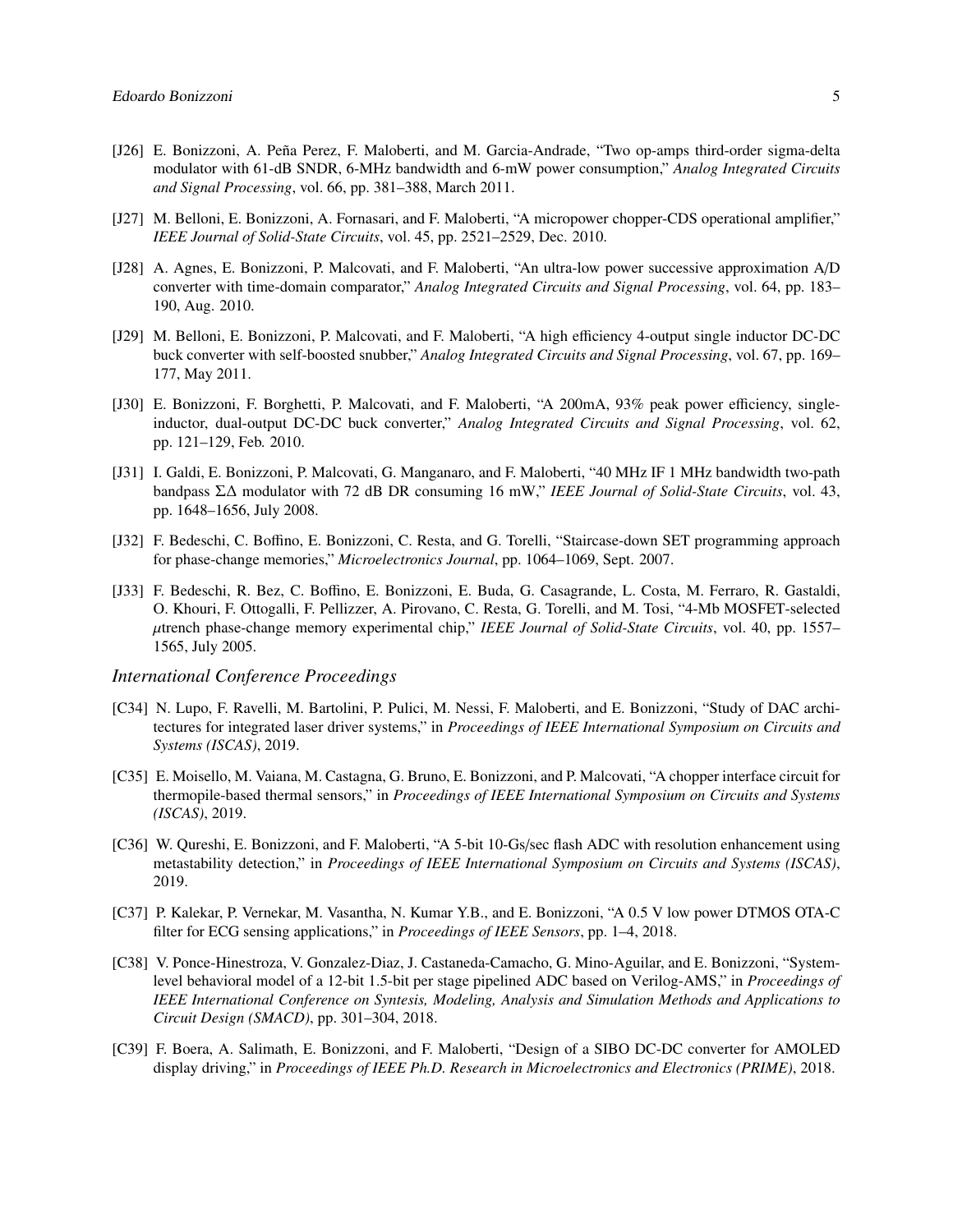- [J26] E. Bonizzoni, A. Peña Perez, F. Maloberti, and M. Garcia-Andrade, "Two op-amps third-order sigma-delta modulator with 61-dB SNDR, 6-MHz bandwidth and 6-mW power consumption," *Analog Integrated Circuits and Signal Processing*, vol. 66, pp. 381–388, March 2011.
- [J27] M. Belloni, E. Bonizzoni, A. Fornasari, and F. Maloberti, "A micropower chopper-CDS operational amplifier," *IEEE Journal of Solid-State Circuits*, vol. 45, pp. 2521–2529, Dec. 2010.
- [J28] A. Agnes, E. Bonizzoni, P. Malcovati, and F. Maloberti, "An ultra-low power successive approximation A/D converter with time-domain comparator," *Analog Integrated Circuits and Signal Processing*, vol. 64, pp. 183– 190, Aug. 2010.
- [J29] M. Belloni, E. Bonizzoni, P. Malcovati, and F. Maloberti, "A high efficiency 4-output single inductor DC-DC buck converter with self-boosted snubber," *Analog Integrated Circuits and Signal Processing*, vol. 67, pp. 169– 177, May 2011.
- [J30] E. Bonizzoni, F. Borghetti, P. Malcovati, and F. Maloberti, "A 200mA, 93% peak power efficiency, singleinductor, dual-output DC-DC buck converter," *Analog Integrated Circuits and Signal Processing*, vol. 62, pp. 121–129, Feb. 2010.
- [J31] I. Galdi, E. Bonizzoni, P. Malcovati, G. Manganaro, and F. Maloberti, "40 MHz IF 1 MHz bandwidth two-path bandpass Σ∆ modulator with 72 dB DR consuming 16 mW," *IEEE Journal of Solid-State Circuits*, vol. 43, pp. 1648–1656, July 2008.
- [J32] F. Bedeschi, C. Boffino, E. Bonizzoni, C. Resta, and G. Torelli, "Staircase-down SET programming approach for phase-change memories," *Microelectronics Journal*, pp. 1064–1069, Sept. 2007.
- [J33] F. Bedeschi, R. Bez, C. Boffino, E. Bonizzoni, E. Buda, G. Casagrande, L. Costa, M. Ferraro, R. Gastaldi, O. Khouri, F. Ottogalli, F. Pellizzer, A. Pirovano, C. Resta, G. Torelli, and M. Tosi, "4-Mb MOSFET-selected µtrench phase-change memory experimental chip," *IEEE Journal of Solid-State Circuits*, vol. 40, pp. 1557– 1565, July 2005.

#### *International Conference Proceedings*

- [C34] N. Lupo, F. Ravelli, M. Bartolini, P. Pulici, M. Nessi, F. Maloberti, and E. Bonizzoni, "Study of DAC architectures for integrated laser driver systems," in *Proceedings of IEEE International Symposium on Circuits and Systems (ISCAS)*, 2019.
- [C35] E. Moisello, M. Vaiana, M. Castagna, G. Bruno, E. Bonizzoni, and P. Malcovati, "A chopper interface circuit for thermopile-based thermal sensors," in *Proceedings of IEEE International Symposium on Circuits and Systems (ISCAS)*, 2019.
- [C36] W. Qureshi, E. Bonizzoni, and F. Maloberti, "A 5-bit 10-Gs/sec flash ADC with resolution enhancement using metastability detection," in *Proceedings of IEEE International Symposium on Circuits and Systems (ISCAS)*, 2019.
- [C37] P. Kalekar, P. Vernekar, M. Vasantha, N. Kumar Y.B., and E. Bonizzoni, "A 0.5 V low power DTMOS OTA-C filter for ECG sensing applications," in *Proceedings of IEEE Sensors*, pp. 1–4, 2018.
- [C38] V. Ponce-Hinestroza, V. Gonzalez-Diaz, J. Castaneda-Camacho, G. Mino-Aguilar, and E. Bonizzoni, "Systemlevel behavioral model of a 12-bit 1.5-bit per stage pipelined ADC based on Verilog-AMS," in *Proceedings of IEEE International Conference on Syntesis, Modeling, Analysis and Simulation Methods and Applications to Circuit Design (SMACD)*, pp. 301–304, 2018.
- [C39] F. Boera, A. Salimath, E. Bonizzoni, and F. Maloberti, "Design of a SIBO DC-DC converter for AMOLED display driving," in *Proceedings of IEEE Ph.D. Research in Microelectronics and Electronics (PRIME)*, 2018.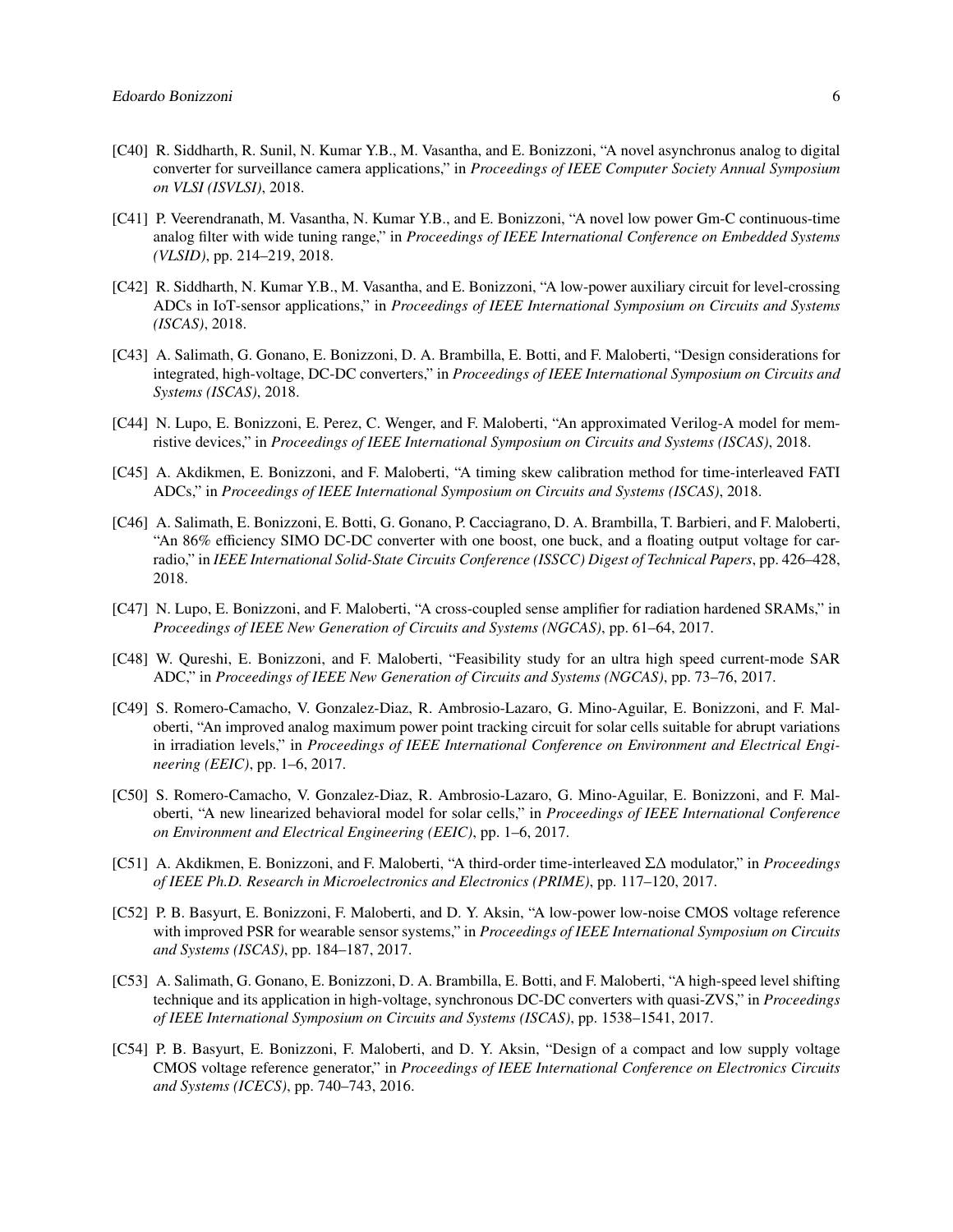- [C40] R. Siddharth, R. Sunil, N. Kumar Y.B., M. Vasantha, and E. Bonizzoni, "A novel asynchronus analog to digital converter for surveillance camera applications," in *Proceedings of IEEE Computer Society Annual Symposium on VLSI (ISVLSI)*, 2018.
- [C41] P. Veerendranath, M. Vasantha, N. Kumar Y.B., and E. Bonizzoni, "A novel low power Gm-C continuous-time analog filter with wide tuning range," in *Proceedings of IEEE International Conference on Embedded Systems (VLSID)*, pp. 214–219, 2018.
- [C42] R. Siddharth, N. Kumar Y.B., M. Vasantha, and E. Bonizzoni, "A low-power auxiliary circuit for level-crossing ADCs in IoT-sensor applications," in *Proceedings of IEEE International Symposium on Circuits and Systems (ISCAS)*, 2018.
- [C43] A. Salimath, G. Gonano, E. Bonizzoni, D. A. Brambilla, E. Botti, and F. Maloberti, "Design considerations for integrated, high-voltage, DC-DC converters," in *Proceedings of IEEE International Symposium on Circuits and Systems (ISCAS)*, 2018.
- [C44] N. Lupo, E. Bonizzoni, E. Perez, C. Wenger, and F. Maloberti, "An approximated Verilog-A model for memristive devices," in *Proceedings of IEEE International Symposium on Circuits and Systems (ISCAS)*, 2018.
- [C45] A. Akdikmen, E. Bonizzoni, and F. Maloberti, "A timing skew calibration method for time-interleaved FATI ADCs," in *Proceedings of IEEE International Symposium on Circuits and Systems (ISCAS)*, 2018.
- [C46] A. Salimath, E. Bonizzoni, E. Botti, G. Gonano, P. Cacciagrano, D. A. Brambilla, T. Barbieri, and F. Maloberti, "An 86% efficiency SIMO DC-DC converter with one boost, one buck, and a floating output voltage for carradio," in *IEEE International Solid-State Circuits Conference (ISSCC) Digest of Technical Papers*, pp. 426–428, 2018.
- [C47] N. Lupo, E. Bonizzoni, and F. Maloberti, "A cross-coupled sense amplifier for radiation hardened SRAMs," in *Proceedings of IEEE New Generation of Circuits and Systems (NGCAS)*, pp. 61–64, 2017.
- [C48] W. Qureshi, E. Bonizzoni, and F. Maloberti, "Feasibility study for an ultra high speed current-mode SAR ADC," in *Proceedings of IEEE New Generation of Circuits and Systems (NGCAS)*, pp. 73–76, 2017.
- [C49] S. Romero-Camacho, V. Gonzalez-Diaz, R. Ambrosio-Lazaro, G. Mino-Aguilar, E. Bonizzoni, and F. Maloberti, "An improved analog maximum power point tracking circuit for solar cells suitable for abrupt variations in irradiation levels," in *Proceedings of IEEE International Conference on Environment and Electrical Engineering (EEIC)*, pp. 1–6, 2017.
- [C50] S. Romero-Camacho, V. Gonzalez-Diaz, R. Ambrosio-Lazaro, G. Mino-Aguilar, E. Bonizzoni, and F. Maloberti, "A new linearized behavioral model for solar cells," in *Proceedings of IEEE International Conference on Environment and Electrical Engineering (EEIC)*, pp. 1–6, 2017.
- [C51] A. Akdikmen, E. Bonizzoni, and F. Maloberti, "A third-order time-interleaved Σ∆ modulator," in *Proceedings of IEEE Ph.D. Research in Microelectronics and Electronics (PRIME)*, pp. 117–120, 2017.
- [C52] P. B. Basyurt, E. Bonizzoni, F. Maloberti, and D. Y. Aksin, "A low-power low-noise CMOS voltage reference with improved PSR for wearable sensor systems," in *Proceedings of IEEE International Symposium on Circuits and Systems (ISCAS)*, pp. 184–187, 2017.
- [C53] A. Salimath, G. Gonano, E. Bonizzoni, D. A. Brambilla, E. Botti, and F. Maloberti, "A high-speed level shifting technique and its application in high-voltage, synchronous DC-DC converters with quasi-ZVS," in *Proceedings of IEEE International Symposium on Circuits and Systems (ISCAS)*, pp. 1538–1541, 2017.
- [C54] P. B. Basyurt, E. Bonizzoni, F. Maloberti, and D. Y. Aksin, "Design of a compact and low supply voltage CMOS voltage reference generator," in *Proceedings of IEEE International Conference on Electronics Circuits and Systems (ICECS)*, pp. 740–743, 2016.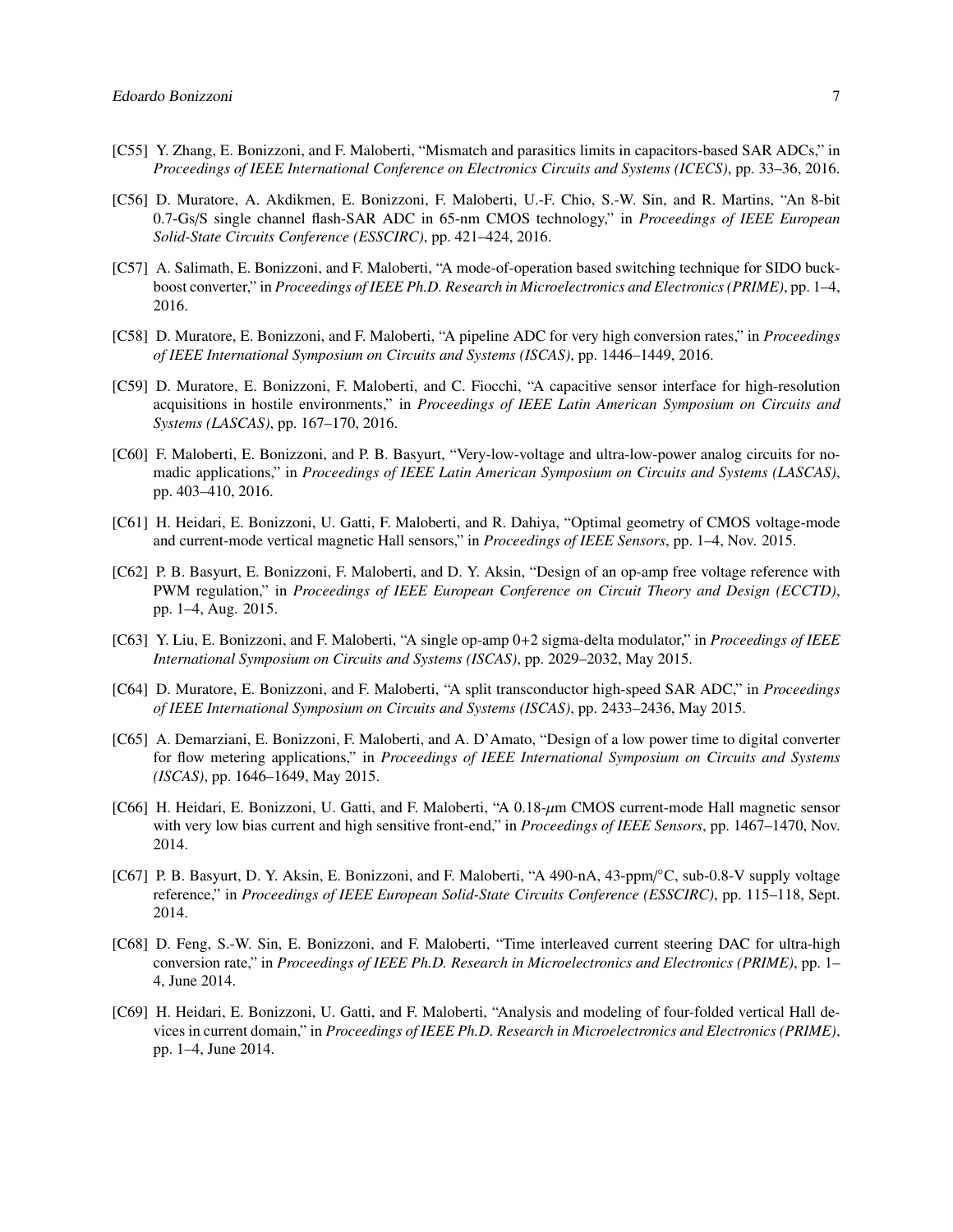- [C55] Y. Zhang, E. Bonizzoni, and F. Maloberti, "Mismatch and parasitics limits in capacitors-based SAR ADCs," in *Proceedings of IEEE International Conference on Electronics Circuits and Systems (ICECS)*, pp. 33–36, 2016.
- [C56] D. Muratore, A. Akdikmen, E. Bonizzoni, F. Maloberti, U.-F. Chio, S.-W. Sin, and R. Martins, "An 8-bit 0.7-Gs/S single channel flash-SAR ADC in 65-nm CMOS technology," in *Proceedings of IEEE European Solid-State Circuits Conference (ESSCIRC)*, pp. 421–424, 2016.
- [C57] A. Salimath, E. Bonizzoni, and F. Maloberti, "A mode-of-operation based switching technique for SIDO buckboost converter," in *Proceedings of IEEE Ph.D. Research in Microelectronics and Electronics (PRIME)*, pp. 1–4, 2016.
- [C58] D. Muratore, E. Bonizzoni, and F. Maloberti, "A pipeline ADC for very high conversion rates," in *Proceedings of IEEE International Symposium on Circuits and Systems (ISCAS)*, pp. 1446–1449, 2016.
- [C59] D. Muratore, E. Bonizzoni, F. Maloberti, and C. Fiocchi, "A capacitive sensor interface for high-resolution acquisitions in hostile environments," in *Proceedings of IEEE Latin American Symposium on Circuits and Systems (LASCAS)*, pp. 167–170, 2016.
- [C60] F. Maloberti, E. Bonizzoni, and P. B. Basyurt, "Very-low-voltage and ultra-low-power analog circuits for nomadic applications," in *Proceedings of IEEE Latin American Symposium on Circuits and Systems (LASCAS)*, pp. 403–410, 2016.
- [C61] H. Heidari, E. Bonizzoni, U. Gatti, F. Maloberti, and R. Dahiya, "Optimal geometry of CMOS voltage-mode and current-mode vertical magnetic Hall sensors," in *Proceedings of IEEE Sensors*, pp. 1–4, Nov. 2015.
- [C62] P. B. Basyurt, E. Bonizzoni, F. Maloberti, and D. Y. Aksin, "Design of an op-amp free voltage reference with PWM regulation," in *Proceedings of IEEE European Conference on Circuit Theory and Design (ECCTD)*, pp. 1–4, Aug. 2015.
- [C63] Y. Liu, E. Bonizzoni, and F. Maloberti, "A single op-amp 0+2 sigma-delta modulator," in *Proceedings of IEEE International Symposium on Circuits and Systems (ISCAS)*, pp. 2029–2032, May 2015.
- [C64] D. Muratore, E. Bonizzoni, and F. Maloberti, "A split transconductor high-speed SAR ADC," in *Proceedings of IEEE International Symposium on Circuits and Systems (ISCAS)*, pp. 2433–2436, May 2015.
- [C65] A. Demarziani, E. Bonizzoni, F. Maloberti, and A. D'Amato, "Design of a low power time to digital converter for flow metering applications," in *Proceedings of IEEE International Symposium on Circuits and Systems (ISCAS)*, pp. 1646–1649, May 2015.
- [C66] H. Heidari, E. Bonizzoni, U. Gatti, and F. Maloberti, "A 0.18-µm CMOS current-mode Hall magnetic sensor with very low bias current and high sensitive front-end," in *Proceedings of IEEE Sensors*, pp. 1467–1470, Nov. 2014.
- [C67] P. B. Basyurt, D. Y. Aksin, E. Bonizzoni, and F. Maloberti, "A 490-nA, 43-ppm/°C, sub-0.8-V supply voltage reference," in *Proceedings of IEEE European Solid-State Circuits Conference (ESSCIRC)*, pp. 115–118, Sept. 2014.
- [C68] D. Feng, S.-W. Sin, E. Bonizzoni, and F. Maloberti, "Time interleaved current steering DAC for ultra-high conversion rate," in *Proceedings of IEEE Ph.D. Research in Microelectronics and Electronics (PRIME)*, pp. 1– 4, June 2014.
- [C69] H. Heidari, E. Bonizzoni, U. Gatti, and F. Maloberti, "Analysis and modeling of four-folded vertical Hall devices in current domain," in *Proceedings of IEEE Ph.D. Research in Microelectronics and Electronics (PRIME)*, pp. 1–4, June 2014.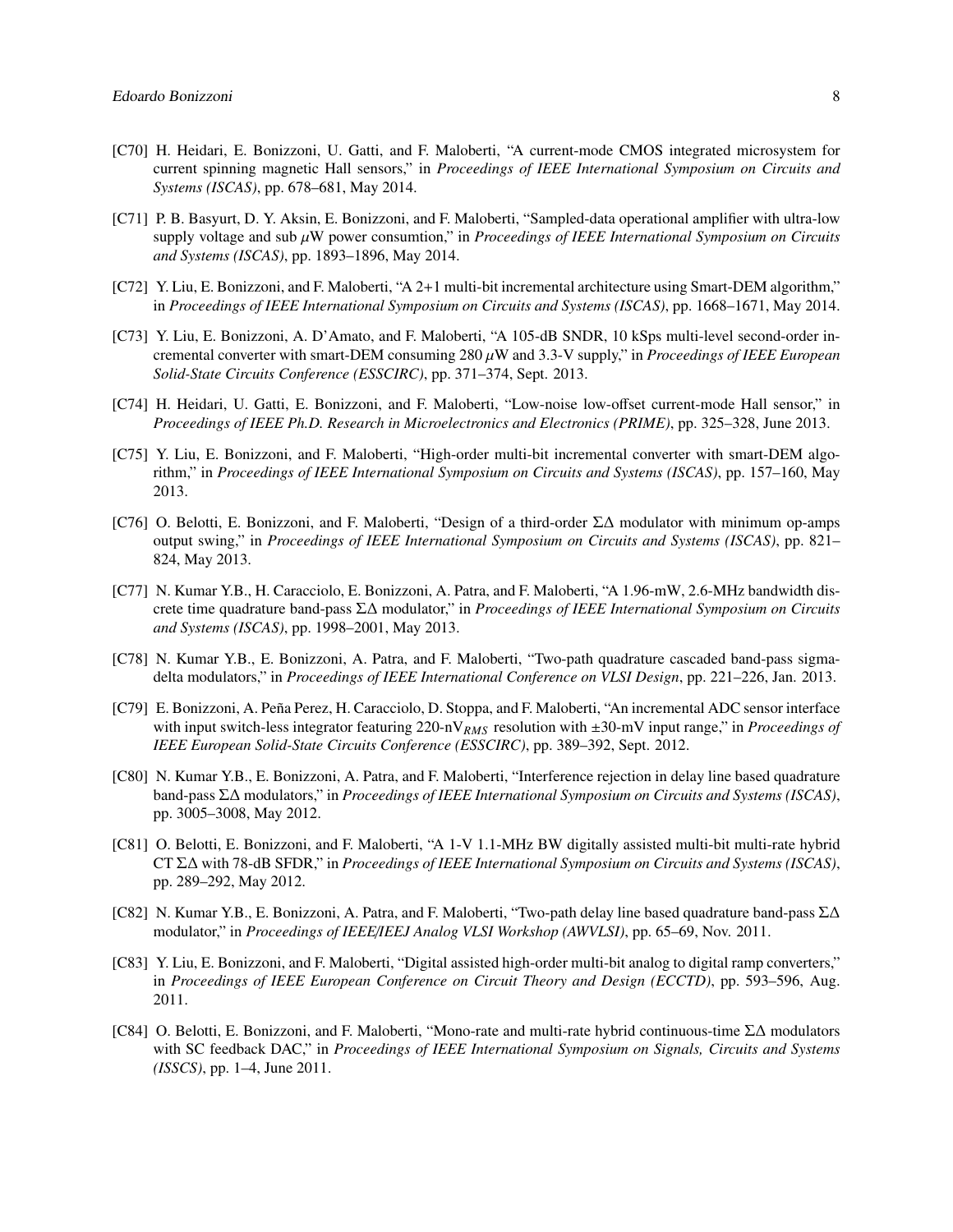- [C70] H. Heidari, E. Bonizzoni, U. Gatti, and F. Maloberti, "A current-mode CMOS integrated microsystem for current spinning magnetic Hall sensors," in *Proceedings of IEEE International Symposium on Circuits and Systems (ISCAS)*, pp. 678–681, May 2014.
- [C71] P. B. Basyurt, D. Y. Aksin, E. Bonizzoni, and F. Maloberti, "Sampled-data operational amplifier with ultra-low supply voltage and sub µW power consumtion," in *Proceedings of IEEE International Symposium on Circuits and Systems (ISCAS)*, pp. 1893–1896, May 2014.
- [C72] Y. Liu, E. Bonizzoni, and F. Maloberti, "A 2+1 multi-bit incremental architecture using Smart-DEM algorithm," in *Proceedings of IEEE International Symposium on Circuits and Systems (ISCAS)*, pp. 1668–1671, May 2014.
- [C73] Y. Liu, E. Bonizzoni, A. D'Amato, and F. Maloberti, "A 105-dB SNDR, 10 kSps multi-level second-order incremental converter with smart-DEM consuming 280 µW and 3.3-V supply," in *Proceedings of IEEE European Solid-State Circuits Conference (ESSCIRC)*, pp. 371–374, Sept. 2013.
- [C74] H. Heidari, U. Gatti, E. Bonizzoni, and F. Maloberti, "Low-noise low-offset current-mode Hall sensor," in *Proceedings of IEEE Ph.D. Research in Microelectronics and Electronics (PRIME)*, pp. 325–328, June 2013.
- [C75] Y. Liu, E. Bonizzoni, and F. Maloberti, "High-order multi-bit incremental converter with smart-DEM algorithm," in *Proceedings of IEEE International Symposium on Circuits and Systems (ISCAS)*, pp. 157–160, May 2013.
- [C76] O. Belotti, E. Bonizzoni, and F. Maloberti, "Design of a third-order Σ∆ modulator with minimum op-amps output swing," in *Proceedings of IEEE International Symposium on Circuits and Systems (ISCAS)*, pp. 821– 824, May 2013.
- [C77] N. Kumar Y.B., H. Caracciolo, E. Bonizzoni, A. Patra, and F. Maloberti, "A 1.96-mW, 2.6-MHz bandwidth discrete time quadrature band-pass Σ∆ modulator," in *Proceedings of IEEE International Symposium on Circuits and Systems (ISCAS)*, pp. 1998–2001, May 2013.
- [C78] N. Kumar Y.B., E. Bonizzoni, A. Patra, and F. Maloberti, "Two-path quadrature cascaded band-pass sigmadelta modulators," in *Proceedings of IEEE International Conference on VLSI Design*, pp. 221–226, Jan. 2013.
- [C79] E. Bonizzoni, A. Peña Perez, H. Caracciolo, D. Stoppa, and F. Maloberti, "An incremental ADC sensor interface with input switch-less integrator featuring 220-nV<sub>RMS</sub> resolution with  $\pm 30$ -mV input range," in *Proceedings of IEEE European Solid-State Circuits Conference (ESSCIRC)*, pp. 389–392, Sept. 2012.
- [C80] N. Kumar Y.B., E. Bonizzoni, A. Patra, and F. Maloberti, "Interference rejection in delay line based quadrature band-pass Σ∆ modulators," in *Proceedings of IEEE International Symposium on Circuits and Systems (ISCAS)*, pp. 3005–3008, May 2012.
- [C81] O. Belotti, E. Bonizzoni, and F. Maloberti, "A 1-V 1.1-MHz BW digitally assisted multi-bit multi-rate hybrid CT Σ∆ with 78-dB SFDR," in *Proceedings of IEEE International Symposium on Circuits and Systems (ISCAS)*, pp. 289–292, May 2012.
- [C82] N. Kumar Y.B., E. Bonizzoni, A. Patra, and F. Maloberti, "Two-path delay line based quadrature band-pass Σ∆ modulator," in *Proceedings of IEEE*/*IEEJ Analog VLSI Workshop (AWVLSI)*, pp. 65–69, Nov. 2011.
- [C83] Y. Liu, E. Bonizzoni, and F. Maloberti, "Digital assisted high-order multi-bit analog to digital ramp converters," in *Proceedings of IEEE European Conference on Circuit Theory and Design (ECCTD)*, pp. 593–596, Aug. 2011.
- [C84] O. Belotti, E. Bonizzoni, and F. Maloberti, "Mono-rate and multi-rate hybrid continuous-time Σ∆ modulators with SC feedback DAC," in *Proceedings of IEEE International Symposium on Signals, Circuits and Systems (ISSCS)*, pp. 1–4, June 2011.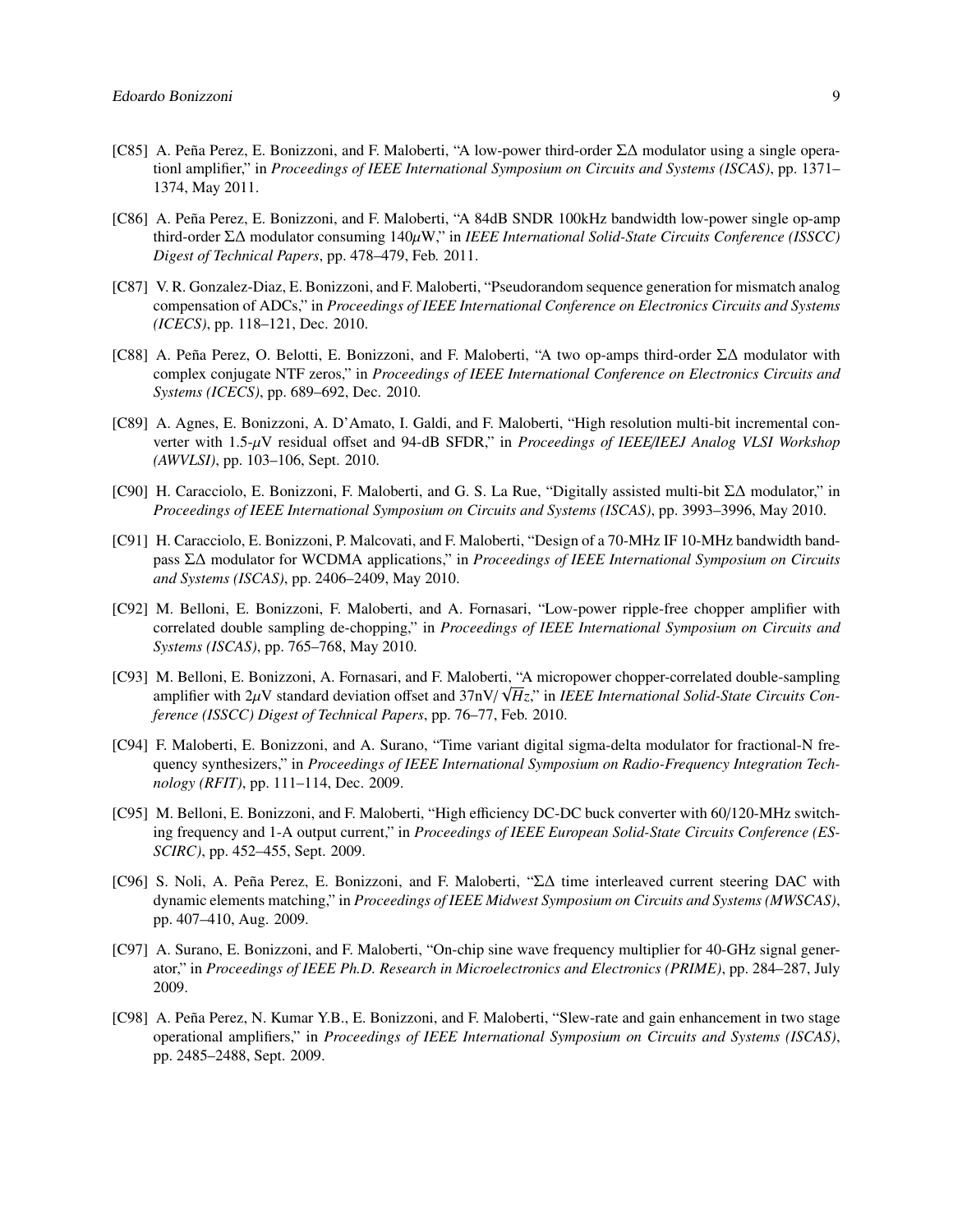- [C85] A. Peña Perez, E. Bonizzoni, and F. Maloberti, "A low-power third-order Σ∆ modulator using a single operationl amplifier," in *Proceedings of IEEE International Symposium on Circuits and Systems (ISCAS)*, pp. 1371– 1374, May 2011.
- [C86] A. Peña Perez, E. Bonizzoni, and F. Maloberti, "A 84dB SNDR 100kHz bandwidth low-power single op-amp third-order Σ∆ modulator consuming 140µW," in *IEEE International Solid-State Circuits Conference (ISSCC) Digest of Technical Papers*, pp. 478–479, Feb. 2011.
- [C87] V. R. Gonzalez-Diaz, E. Bonizzoni, and F. Maloberti, "Pseudorandom sequence generation for mismatch analog compensation of ADCs," in *Proceedings of IEEE International Conference on Electronics Circuits and Systems (ICECS)*, pp. 118–121, Dec. 2010.
- [C88] A. Peña Perez, O. Belotti, E. Bonizzoni, and F. Maloberti, "A two op-amps third-order Σ∆ modulator with complex conjugate NTF zeros," in *Proceedings of IEEE International Conference on Electronics Circuits and Systems (ICECS)*, pp. 689–692, Dec. 2010.
- [C89] A. Agnes, E. Bonizzoni, A. D'Amato, I. Galdi, and F. Maloberti, "High resolution multi-bit incremental converter with 1.5-µV residual offset and 94-dB SFDR," in *Proceedings of IEEE*/*IEEJ Analog VLSI Workshop (AWVLSI)*, pp. 103–106, Sept. 2010.
- [C90] H. Caracciolo, E. Bonizzoni, F. Maloberti, and G. S. La Rue, "Digitally assisted multi-bit Σ∆ modulator," in *Proceedings of IEEE International Symposium on Circuits and Systems (ISCAS)*, pp. 3993–3996, May 2010.
- [C91] H. Caracciolo, E. Bonizzoni, P. Malcovati, and F. Maloberti, "Design of a 70-MHz IF 10-MHz bandwidth bandpass Σ∆ modulator for WCDMA applications," in *Proceedings of IEEE International Symposium on Circuits and Systems (ISCAS)*, pp. 2406–2409, May 2010.
- [C92] M. Belloni, E. Bonizzoni, F. Maloberti, and A. Fornasari, "Low-power ripple-free chopper amplifier with correlated double sampling de-chopping," in *Proceedings of IEEE International Symposium on Circuits and Systems (ISCAS)*, pp. 765–768, May 2010.
- [C93] M. Belloni, E. Bonizzoni, A. Fornasari, and F. Maloberti, "A micropower chopper-correlated double-sampling amplifier with 2μV standard deviation offset and 37nV/ $\sqrt{Hz}$ ," in *IEEE International Solid-State Circuits Containers* (*ISSCC*) Digest of Technical Papers pp. 76–77. Feb. 2010 *ference (ISSCC) Digest of Technical Papers*, pp. 76–77, Feb. 2010.
- [C94] F. Maloberti, E. Bonizzoni, and A. Surano, "Time variant digital sigma-delta modulator for fractional-N frequency synthesizers," in *Proceedings of IEEE International Symposium on Radio-Frequency Integration Technology (RFIT)*, pp. 111–114, Dec. 2009.
- [C95] M. Belloni, E. Bonizzoni, and F. Maloberti, "High efficiency DC-DC buck converter with 60/120-MHz switching frequency and 1-A output current," in *Proceedings of IEEE European Solid-State Circuits Conference (ES-SCIRC)*, pp. 452–455, Sept. 2009.
- [C96] S. Noli, A. Peña Perez, E. Bonizzoni, and F. Maloberti, "Σ∆ time interleaved current steering DAC with dynamic elements matching," in *Proceedings of IEEE Midwest Symposium on Circuits and Systems (MWSCAS)*, pp. 407–410, Aug. 2009.
- [C97] A. Surano, E. Bonizzoni, and F. Maloberti, "On-chip sine wave frequency multiplier for 40-GHz signal generator," in *Proceedings of IEEE Ph.D. Research in Microelectronics and Electronics (PRIME)*, pp. 284–287, July 2009.
- [C98] A. Peña Perez, N. Kumar Y.B., E. Bonizzoni, and F. Maloberti, "Slew-rate and gain enhancement in two stage operational amplifiers," in *Proceedings of IEEE International Symposium on Circuits and Systems (ISCAS)*, pp. 2485–2488, Sept. 2009.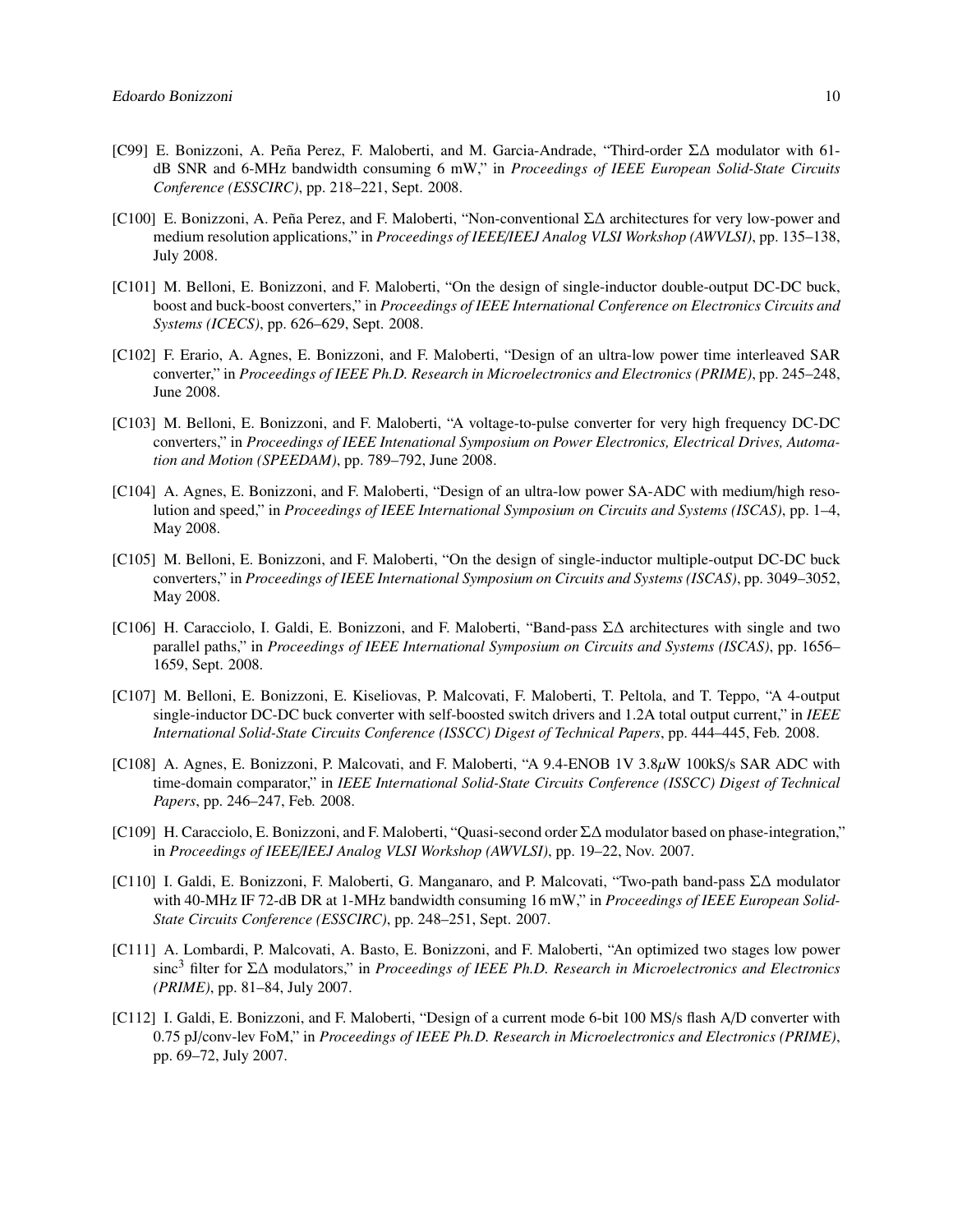- [C99] E. Bonizzoni, A. Peña Perez, F. Maloberti, and M. Garcia-Andrade, "Third-order Σ∆ modulator with 61 dB SNR and 6-MHz bandwidth consuming 6 mW," in *Proceedings of IEEE European Solid-State Circuits Conference (ESSCIRC)*, pp. 218–221, Sept. 2008.
- [C100] E. Bonizzoni, A. Peña Perez, and F. Maloberti, "Non-conventional Σ∆ architectures for very low-power and medium resolution applications," in *Proceedings of IEEE*/*IEEJ Analog VLSI Workshop (AWVLSI)*, pp. 135–138, July 2008.
- [C101] M. Belloni, E. Bonizzoni, and F. Maloberti, "On the design of single-inductor double-output DC-DC buck, boost and buck-boost converters," in *Proceedings of IEEE International Conference on Electronics Circuits and Systems (ICECS)*, pp. 626–629, Sept. 2008.
- [C102] F. Erario, A. Agnes, E. Bonizzoni, and F. Maloberti, "Design of an ultra-low power time interleaved SAR converter," in *Proceedings of IEEE Ph.D. Research in Microelectronics and Electronics (PRIME)*, pp. 245–248, June 2008.
- [C103] M. Belloni, E. Bonizzoni, and F. Maloberti, "A voltage-to-pulse converter for very high frequency DC-DC converters," in *Proceedings of IEEE Intenational Symposium on Power Electronics, Electrical Drives, Automation and Motion (SPEEDAM)*, pp. 789–792, June 2008.
- [C104] A. Agnes, E. Bonizzoni, and F. Maloberti, "Design of an ultra-low power SA-ADC with medium/high resolution and speed," in *Proceedings of IEEE International Symposium on Circuits and Systems (ISCAS)*, pp. 1–4, May 2008.
- [C105] M. Belloni, E. Bonizzoni, and F. Maloberti, "On the design of single-inductor multiple-output DC-DC buck converters," in *Proceedings of IEEE International Symposium on Circuits and Systems (ISCAS)*, pp. 3049–3052, May 2008.
- [C106] H. Caracciolo, I. Galdi, E. Bonizzoni, and F. Maloberti, "Band-pass Σ∆ architectures with single and two parallel paths," in *Proceedings of IEEE International Symposium on Circuits and Systems (ISCAS)*, pp. 1656– 1659, Sept. 2008.
- [C107] M. Belloni, E. Bonizzoni, E. Kiseliovas, P. Malcovati, F. Maloberti, T. Peltola, and T. Teppo, "A 4-output single-inductor DC-DC buck converter with self-boosted switch drivers and 1.2A total output current," in *IEEE International Solid-State Circuits Conference (ISSCC) Digest of Technical Papers*, pp. 444–445, Feb. 2008.
- [C108] A. Agnes, E. Bonizzoni, P. Malcovati, and F. Maloberti, "A 9.4-ENOB 1V 3.8µW 100kS/s SAR ADC with time-domain comparator," in *IEEE International Solid-State Circuits Conference (ISSCC) Digest of Technical Papers*, pp. 246–247, Feb. 2008.
- [C109] H. Caracciolo, E. Bonizzoni, and F. Maloberti, "Quasi-second order Σ∆ modulator based on phase-integration," in *Proceedings of IEEE*/*IEEJ Analog VLSI Workshop (AWVLSI)*, pp. 19–22, Nov. 2007.
- [C110] I. Galdi, E. Bonizzoni, F. Maloberti, G. Manganaro, and P. Malcovati, "Two-path band-pass Σ∆ modulator with 40-MHz IF 72-dB DR at 1-MHz bandwidth consuming 16 mW," in *Proceedings of IEEE European Solid-State Circuits Conference (ESSCIRC)*, pp. 248–251, Sept. 2007.
- [C111] A. Lombardi, P. Malcovati, A. Basto, E. Bonizzoni, and F. Maloberti, "An optimized two stages low power sinc<sup>3</sup> filter for Σ∆ modulators," in *Proceedings of IEEE Ph.D. Research in Microelectronics and Electronics (PRIME)*, pp. 81–84, July 2007.
- [C112] I. Galdi, E. Bonizzoni, and F. Maloberti, "Design of a current mode 6-bit 100 MS/s flash A/D converter with 0.75 pJ/conv-lev FoM," in *Proceedings of IEEE Ph.D. Research in Microelectronics and Electronics (PRIME)*, pp. 69–72, July 2007.